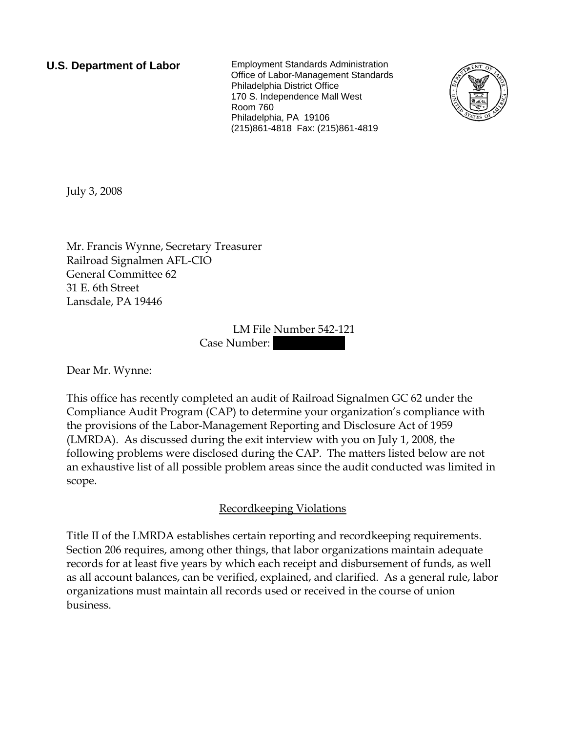**U.S. Department of Labor** Employment Standards Administration Office of Labor-Management Standards Philadelphia District Office 170 S. Independence Mall West Room 760 Philadelphia, PA 19106 (215)861-4818 Fax: (215)861-4819



July 3, 2008

Mr. Francis Wynne, Secretary Treasurer Railroad Signalmen AFL-CIO General Committee 62 31 E. 6th Street Lansdale, PA 19446

> LM File Number 542-121 Case Number:

Dear Mr. Wynne:

This office has recently completed an audit of Railroad Signalmen GC 62 under the Compliance Audit Program (CAP) to determine your organization's compliance with the provisions of the Labor-Management Reporting and Disclosure Act of 1959 (LMRDA). As discussed during the exit interview with you on July 1, 2008, the following problems were disclosed during the CAP. The matters listed below are not an exhaustive list of all possible problem areas since the audit conducted was limited in scope.

## Recordkeeping Violations

Title II of the LMRDA establishes certain reporting and recordkeeping requirements. Section 206 requires, among other things, that labor organizations maintain adequate records for at least five years by which each receipt and disbursement of funds, as well as all account balances, can be verified, explained, and clarified. As a general rule, labor organizations must maintain all records used or received in the course of union business.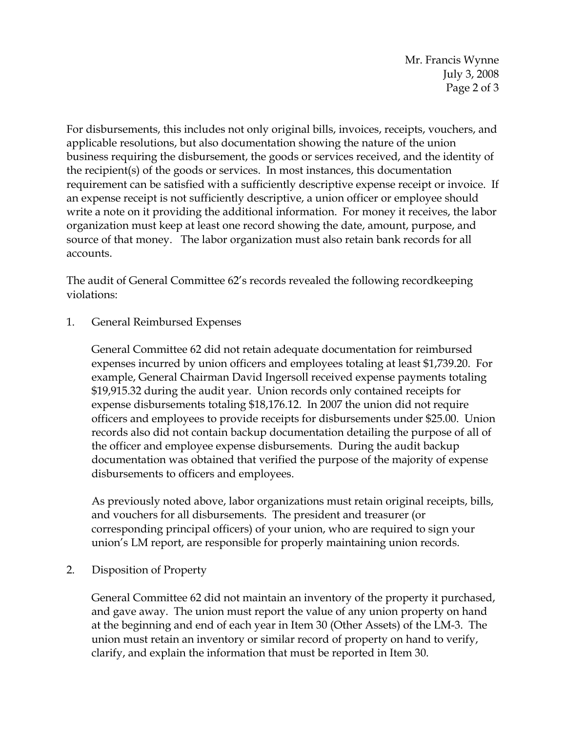Mr. Francis Wynne July 3, 2008 Page 2 of 3

For disbursements, this includes not only original bills, invoices, receipts, vouchers, and applicable resolutions, but also documentation showing the nature of the union business requiring the disbursement, the goods or services received, and the identity of the recipient(s) of the goods or services. In most instances, this documentation requirement can be satisfied with a sufficiently descriptive expense receipt or invoice. If an expense receipt is not sufficiently descriptive, a union officer or employee should write a note on it providing the additional information. For money it receives, the labor organization must keep at least one record showing the date, amount, purpose, and source of that money. The labor organization must also retain bank records for all accounts.

The audit of General Committee 62's records revealed the following recordkeeping violations:

1. General Reimbursed Expenses

General Committee 62 did not retain adequate documentation for reimbursed expenses incurred by union officers and employees totaling at least \$1,739.20. For example, General Chairman David Ingersoll received expense payments totaling \$19,915.32 during the audit year. Union records only contained receipts for expense disbursements totaling \$18,176.12. In 2007 the union did not require officers and employees to provide receipts for disbursements under \$25.00. Union records also did not contain backup documentation detailing the purpose of all of the officer and employee expense disbursements. During the audit backup documentation was obtained that verified the purpose of the majority of expense disbursements to officers and employees.

As previously noted above, labor organizations must retain original receipts, bills, and vouchers for all disbursements. The president and treasurer (or corresponding principal officers) of your union, who are required to sign your union's LM report, are responsible for properly maintaining union records.

2. Disposition of Property

General Committee 62 did not maintain an inventory of the property it purchased, and gave away. The union must report the value of any union property on hand at the beginning and end of each year in Item 30 (Other Assets) of the LM-3. The union must retain an inventory or similar record of property on hand to verify, clarify, and explain the information that must be reported in Item 30.